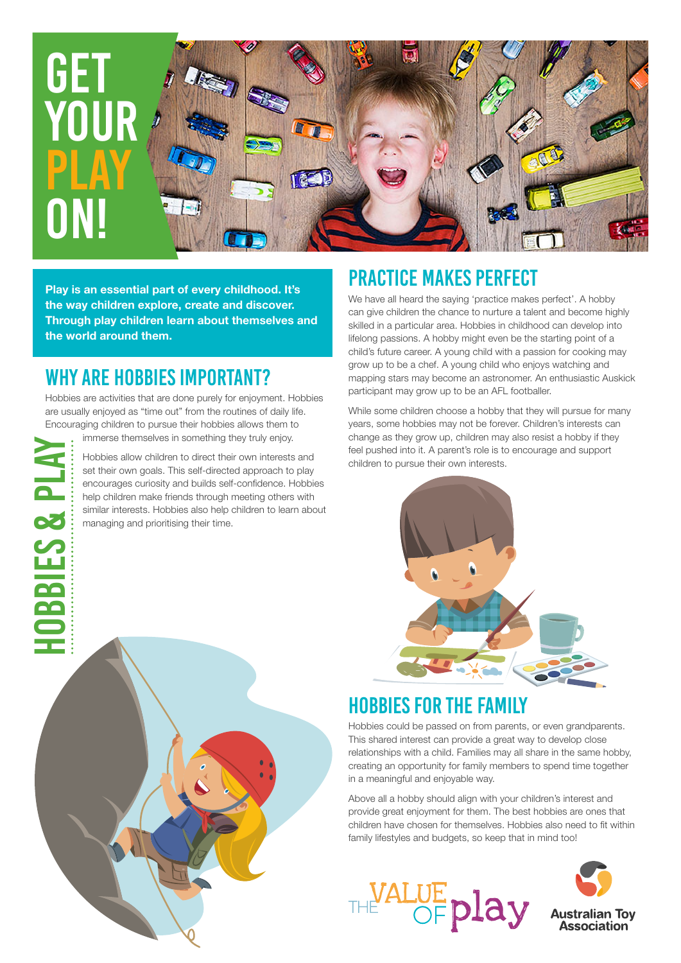

**Play is an essential part of every childhood. It's the way children explore, create and discover. Through play children learn about themselves and the world around them.** 

#### WHY ARE HOBBIES IMPORTANT?

hobbies & Play

**HOBBIES & PLA** 

Hobbies are activities that are done purely for enjoyment. Hobbies are usually enjoyed as "time out" from the routines of daily life. Encouraging children to pursue their hobbies allows them to

immerse themselves in something they truly enjoy. Hobbies allow children to direct their own interests and set their own goals. This self-directed approach to play encourages curiosity and builds self-confidence. Hobbies help children make friends through meeting others with similar interests. Hobbies also help children to learn about managing and prioritising their time.

## PRACTICE MAKES PERFECT

We have all heard the saying 'practice makes perfect'. A hobby can give children the chance to nurture a talent and become highly skilled in a particular area. Hobbies in childhood can develop into lifelong passions. A hobby might even be the starting point of a child's future career. A young child with a passion for cooking may grow up to be a chef. A young child who enjoys watching and mapping stars may become an astronomer. An enthusiastic Auskick participant may grow up to be an AFL footballer.

While some children choose a hobby that they will pursue for many years, some hobbies may not be forever. Children's interests can change as they grow up, children may also resist a hobby if they feel pushed into it. A parent's role is to encourage and support children to pursue their own interests.



#### HOBBIES FOR THE FAMILY

Hobbies could be passed on from parents, or even grandparents. This shared interest can provide a great way to develop close relationships with a child. Families may all share in the same hobby, creating an opportunity for family members to spend time together in a meaningful and enjoyable way.

Above all a hobby should align with your children's interest and provide great enjoyment for them. The best hobbies are ones that children have chosen for themselves. Hobbies also need to fit within family lifestyles and budgets, so keep that in mind too!